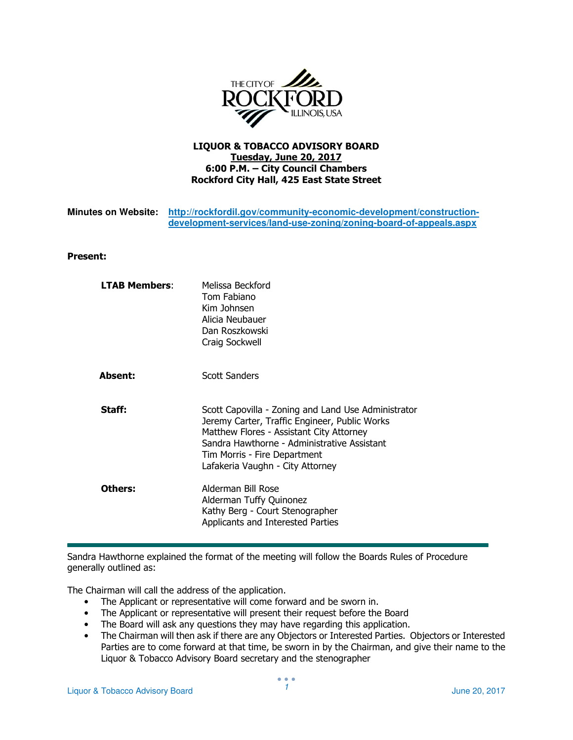

## LIQUOR & TOBACCO ADVISORY BOARD Tuesday, June 20, 2017 6:00 P.M. – City Council Chambers Rockford City Hall, 425 East State Street

| Minutes on Website: http://rockfordil.gov/community-economic-development/construction- |
|----------------------------------------------------------------------------------------|
| development-services/land-use-zoning/zoning-board-of-appeals.aspx                      |

## Present:

| <b>LTAB Members:</b> | Melissa Beckford<br>Tom Fabiano<br>Kim Johnsen<br>Alicia Neubauer<br>Dan Roszkowski<br>Craig Sockwell                                                                                                                                                               |
|----------------------|---------------------------------------------------------------------------------------------------------------------------------------------------------------------------------------------------------------------------------------------------------------------|
| <b>Absent:</b>       | <b>Scott Sanders</b>                                                                                                                                                                                                                                                |
| Staff:               | Scott Capovilla - Zoning and Land Use Administrator<br>Jeremy Carter, Traffic Engineer, Public Works<br>Matthew Flores - Assistant City Attorney<br>Sandra Hawthorne - Administrative Assistant<br>Tim Morris - Fire Department<br>Lafakeria Vaughn - City Attorney |
| Others:              | Alderman Bill Rose<br>Alderman Tuffy Quinonez<br>Kathy Berg - Court Stenographer<br>Applicants and Interested Parties                                                                                                                                               |

Sandra Hawthorne explained the format of the meeting will follow the Boards Rules of Procedure generally outlined as:

The Chairman will call the address of the application.

- The Applicant or representative will come forward and be sworn in.
- The Applicant or representative will present their request before the Board
- The Board will ask any questions they may have regarding this application.
- The Chairman will then ask if there are any Objectors or Interested Parties. Objectors or Interested Parties are to come forward at that time, be sworn in by the Chairman, and give their name to the Liquor & Tobacco Advisory Board secretary and the stenographer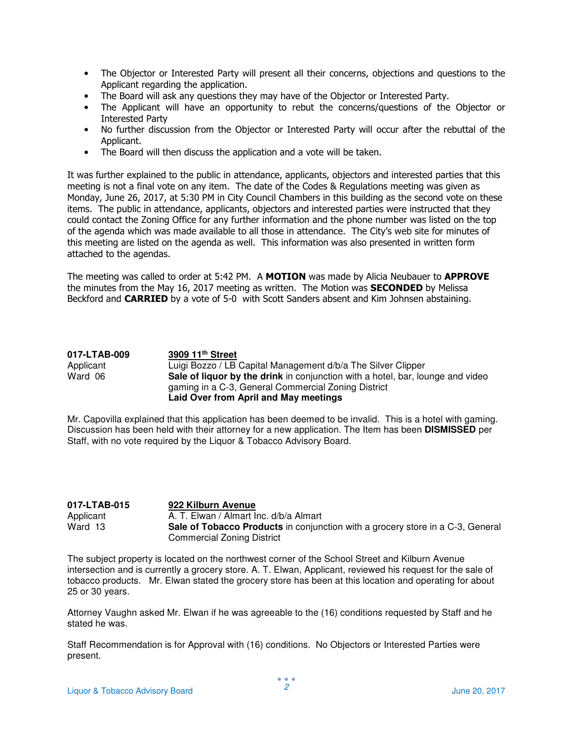- The Objector or Interested Party will present all their concerns, objections and questions to the Applicant regarding the application.
- The Board will ask any questions they may have of the Objector or Interested Party.
- The Applicant will have an opportunity to rebut the concerns/questions of the Objector or Interested Party
- No further discussion from the Objector or Interested Party will occur after the rebuttal of the Applicant.
- The Board will then discuss the application and a vote will be taken.

It was further explained to the public in attendance, applicants, objectors and interested parties that this meeting is not a final vote on any item. The date of the Codes & Regulations meeting was given as Monday, June 26, 2017, at 5:30 PM in City Council Chambers in this building as the second vote on these items. The public in attendance, applicants, objectors and interested parties were instructed that they could contact the Zoning Office for any further information and the phone number was listed on the top of the agenda which was made available to all those in attendance. The City's web site for minutes of this meeting are listed on the agenda as well. This information was also presented in written form attached to the agendas.

The meeting was called to order at 5:42 PM. A MOTION was made by Alicia Neubauer to APPROVE the minutes from the May 16, 2017 meeting as written. The Motion was **SECONDED** by Melissa Beckford and **CARRIED** by a vote of 5-0 with Scott Sanders absent and Kim Johnsen abstaining.

| 017-LTAB-009 | 3909 11 <sup>th</sup> Street                                                          |
|--------------|---------------------------------------------------------------------------------------|
| Applicant    | Luigi Bozzo / LB Capital Management d/b/a The Silver Clipper                          |
| Ward 06      | <b>Sale of liquor by the drink</b> in conjunction with a hotel, bar, lounge and video |
|              | gaming in a C-3, General Commercial Zoning District                                   |
|              | Laid Over from April and May meetings                                                 |

Mr. Capovilla explained that this application has been deemed to be invalid. This is a hotel with gaming. Discussion has been held with their attorney for a new application. The Item has been **DISMISSED** per Staff, with no vote required by the Liquor & Tobacco Advisory Board.

| 017-LTAB-015 | 922 Kilburn Avenue                                                             |
|--------------|--------------------------------------------------------------------------------|
| Applicant    | A. T. Elwan / Almart Inc. d/b/a Almart                                         |
| Ward 13      | Sale of Tobacco Products in conjunction with a grocery store in a C-3, General |
|              | Commercial Zoning District                                                     |

The subject property is located on the northwest corner of the School Street and Kilburn Avenue intersection and is currently a grocery store. A. T. Elwan, Applicant, reviewed his request for the sale of tobacco products. Mr. Elwan stated the grocery store has been at this location and operating for about 25 or 30 years.

Attorney Vaughn asked Mr. Elwan if he was agreeable to the (16) conditions requested by Staff and he stated he was.

Staff Recommendation is for Approval with (16) conditions. No Objectors or Interested Parties were present.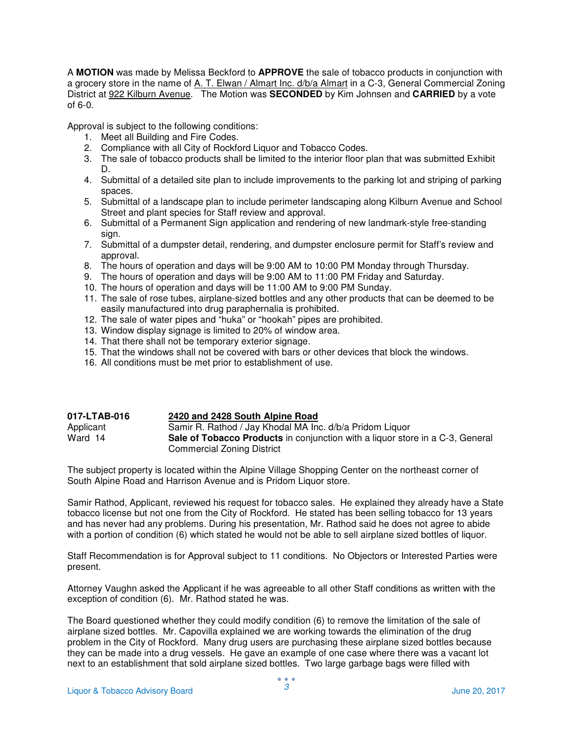A **MOTION** was made by Melissa Beckford to **APPROVE** the sale of tobacco products in conjunction with a grocery store in the name of A. T. Elwan / Almart Inc. d/b/a Almart in a C-3, General Commercial Zoning District at 922 Kilburn Avenue. The Motion was **SECONDED** by Kim Johnsen and **CARRIED** by a vote of 6-0.

Approval is subject to the following conditions:

- 1. Meet all Building and Fire Codes.
- 2. Compliance with all City of Rockford Liquor and Tobacco Codes.
- 3. The sale of tobacco products shall be limited to the interior floor plan that was submitted Exhibit D.
- 4. Submittal of a detailed site plan to include improvements to the parking lot and striping of parking spaces.
- 5. Submittal of a landscape plan to include perimeter landscaping along Kilburn Avenue and School Street and plant species for Staff review and approval.
- 6. Submittal of a Permanent Sign application and rendering of new landmark-style free-standing sian.
- 7. Submittal of a dumpster detail, rendering, and dumpster enclosure permit for Staff's review and approval.
- 8. The hours of operation and days will be 9:00 AM to 10:00 PM Monday through Thursday.
- 9. The hours of operation and days will be 9:00 AM to 11:00 PM Friday and Saturday.
- 10. The hours of operation and days will be 11:00 AM to 9:00 PM Sunday.
- 11. The sale of rose tubes, airplane-sized bottles and any other products that can be deemed to be easily manufactured into drug paraphernalia is prohibited.
- 12. The sale of water pipes and "huka" or "hookah" pipes are prohibited.
- 13. Window display signage is limited to 20% of window area.
- 14. That there shall not be temporary exterior signage.
- 15. That the windows shall not be covered with bars or other devices that block the windows.
- 16. All conditions must be met prior to establishment of use.

| 017-LTAB-016 | 2420 and 2428 South Alpine Road                                                      |
|--------------|--------------------------------------------------------------------------------------|
| Applicant    | Samir R. Rathod / Jay Khodal MA Inc. d/b/a Pridom Liquor                             |
| Ward 14      | <b>Sale of Tobacco Products</b> in conjunction with a liquor store in a C-3, General |
|              | Commercial Zoning District                                                           |

The subject property is located within the Alpine Village Shopping Center on the northeast corner of South Alpine Road and Harrison Avenue and is Pridom Liquor store.

Samir Rathod, Applicant, reviewed his request for tobacco sales. He explained they already have a State tobacco license but not one from the City of Rockford. He stated has been selling tobacco for 13 years and has never had any problems. During his presentation, Mr. Rathod said he does not agree to abide with a portion of condition (6) which stated he would not be able to sell airplane sized bottles of liquor.

Staff Recommendation is for Approval subject to 11 conditions. No Objectors or Interested Parties were present.

Attorney Vaughn asked the Applicant if he was agreeable to all other Staff conditions as written with the exception of condition (6). Mr. Rathod stated he was.

The Board questioned whether they could modify condition (6) to remove the limitation of the sale of airplane sized bottles. Mr. Capovilla explained we are working towards the elimination of the drug problem in the City of Rockford. Many drug users are purchasing these airplane sized bottles because they can be made into a drug vessels. He gave an example of one case where there was a vacant lot next to an establishment that sold airplane sized bottles. Two large garbage bags were filled with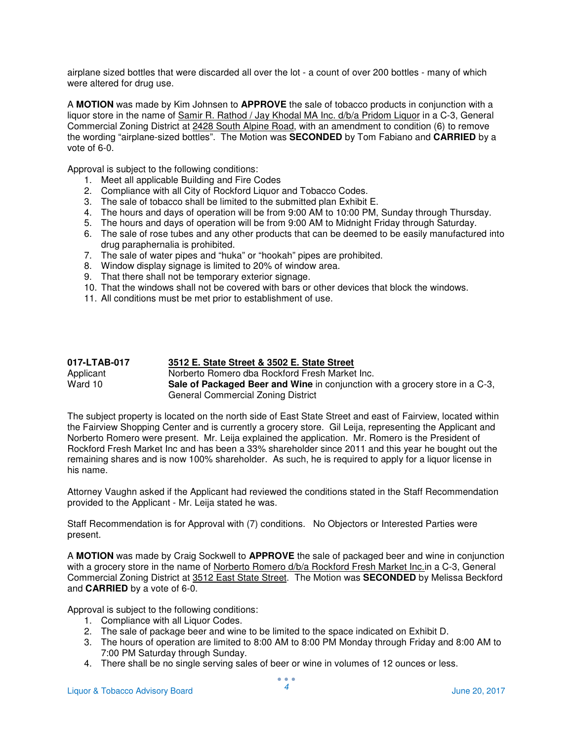airplane sized bottles that were discarded all over the lot - a count of over 200 bottles - many of which were altered for drug use.

A **MOTION** was made by Kim Johnsen to **APPROVE** the sale of tobacco products in conjunction with a liquor store in the name of Samir R. Rathod / Jay Khodal MA Inc. d/b/a Pridom Liquor in a C-3, General Commercial Zoning District at 2428 South Alpine Road, with an amendment to condition (6) to remove the wording "airplane-sized bottles". The Motion was **SECONDED** by Tom Fabiano and **CARRIED** by a vote of 6-0.

Approval is subject to the following conditions:

- 1. Meet all applicable Building and Fire Codes
- 2. Compliance with all City of Rockford Liquor and Tobacco Codes.
- 3. The sale of tobacco shall be limited to the submitted plan Exhibit E.
- 4. The hours and days of operation will be from 9:00 AM to 10:00 PM, Sunday through Thursday.
- 5. The hours and days of operation will be from 9:00 AM to Midnight Friday through Saturday.
- 6. The sale of rose tubes and any other products that can be deemed to be easily manufactured into drug paraphernalia is prohibited.
- 7. The sale of water pipes and "huka" or "hookah" pipes are prohibited.
- 8. Window display signage is limited to 20% of window area.
- 9. That there shall not be temporary exterior signage.
- 10. That the windows shall not be covered with bars or other devices that block the windows.
- 11. All conditions must be met prior to establishment of use.

| 017-LTAB-017 | 3512 E. State Street & 3502 E. State Street                                         |
|--------------|-------------------------------------------------------------------------------------|
| Applicant    | Norberto Romero dba Rockford Fresh Market Inc.                                      |
| Ward 10      | <b>Sale of Packaged Beer and Wine</b> in conjunction with a grocery store in a C-3, |
|              | General Commercial Zoning District                                                  |

The subject property is located on the north side of East State Street and east of Fairview, located within the Fairview Shopping Center and is currently a grocery store. Gil Leija, representing the Applicant and Norberto Romero were present. Mr. Leija explained the application. Mr. Romero is the President of Rockford Fresh Market Inc and has been a 33% shareholder since 2011 and this year he bought out the remaining shares and is now 100% shareholder. As such, he is required to apply for a liquor license in his name.

Attorney Vaughn asked if the Applicant had reviewed the conditions stated in the Staff Recommendation provided to the Applicant - Mr. Leija stated he was.

Staff Recommendation is for Approval with (7) conditions. No Objectors or Interested Parties were present.

A **MOTION** was made by Craig Sockwell to **APPROVE** the sale of packaged beer and wine in conjunction with a grocery store in the name of Norberto Romero d/b/a Rockford Fresh Market Inc.in a C-3, General Commercial Zoning District at 3512 East State Street. The Motion was **SECONDED** by Melissa Beckford and **CARRIED** by a vote of 6-0.

- 1. Compliance with all Liquor Codes.
- 2. The sale of package beer and wine to be limited to the space indicated on Exhibit D.
- 3. The hours of operation are limited to 8:00 AM to 8:00 PM Monday through Friday and 8:00 AM to 7:00 PM Saturday through Sunday.
- 4. There shall be no single serving sales of beer or wine in volumes of 12 ounces or less.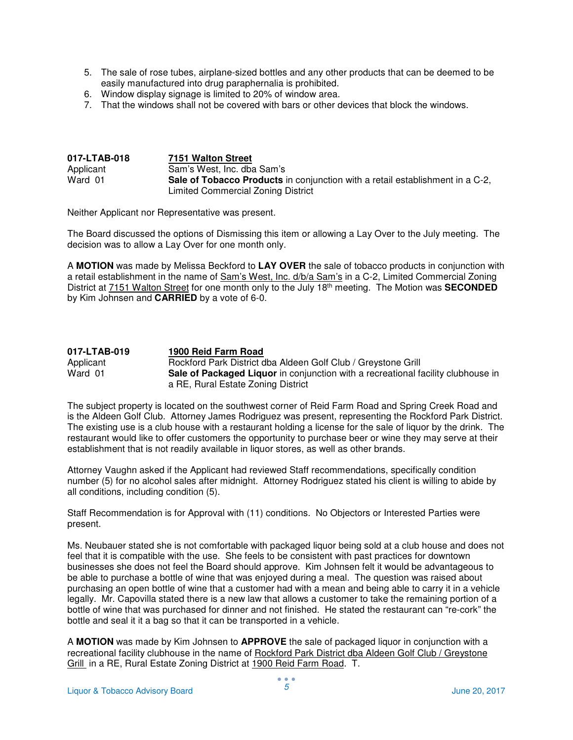- 5. The sale of rose tubes, airplane-sized bottles and any other products that can be deemed to be easily manufactured into drug paraphernalia is prohibited.
- 6. Window display signage is limited to 20% of window area.
- 7. That the windows shall not be covered with bars or other devices that block the windows.

| 017-LTAB-018 | 7151 Walton Street                                                            |
|--------------|-------------------------------------------------------------------------------|
| Applicant    | Sam's West, Inc. dba Sam's                                                    |
| Ward 01      | Sale of Tobacco Products in conjunction with a retail establishment in a C-2, |
|              | Limited Commercial Zoning District                                            |

Neither Applicant nor Representative was present.

The Board discussed the options of Dismissing this item or allowing a Lay Over to the July meeting. The decision was to allow a Lay Over for one month only.

A **MOTION** was made by Melissa Beckford to **LAY OVER** the sale of tobacco products in conjunction with a retail establishment in the name of Sam's West, Inc. d/b/a Sam's in a C-2, Limited Commercial Zoning District at 7151 Walton Street for one month only to the July 18th meeting. The Motion was **SECONDED**  by Kim Johnsen and **CARRIED** by a vote of 6-0.

| 017-LTAB-019 | 1900 Reid Farm Road                                                                     |
|--------------|-----------------------------------------------------------------------------------------|
| Applicant    | Rockford Park District dba Aldeen Golf Club / Greystone Grill                           |
| Ward 01      | <b>Sale of Packaged Liguor</b> in conjunction with a recreational facility clubhouse in |
|              | a RE, Rural Estate Zoning District                                                      |

The subject property is located on the southwest corner of Reid Farm Road and Spring Creek Road and is the Aldeen Golf Club. Attorney James Rodriguez was present, representing the Rockford Park District. The existing use is a club house with a restaurant holding a license for the sale of liquor by the drink. The restaurant would like to offer customers the opportunity to purchase beer or wine they may serve at their establishment that is not readily available in liquor stores, as well as other brands.

Attorney Vaughn asked if the Applicant had reviewed Staff recommendations, specifically condition number (5) for no alcohol sales after midnight. Attorney Rodriguez stated his client is willing to abide by all conditions, including condition (5).

Staff Recommendation is for Approval with (11) conditions. No Objectors or Interested Parties were present.

Ms. Neubauer stated she is not comfortable with packaged liquor being sold at a club house and does not feel that it is compatible with the use. She feels to be consistent with past practices for downtown businesses she does not feel the Board should approve. Kim Johnsen felt it would be advantageous to be able to purchase a bottle of wine that was enjoyed during a meal. The question was raised about purchasing an open bottle of wine that a customer had with a mean and being able to carry it in a vehicle legally. Mr. Capovilla stated there is a new law that allows a customer to take the remaining portion of a bottle of wine that was purchased for dinner and not finished. He stated the restaurant can "re-cork" the bottle and seal it it a bag so that it can be transported in a vehicle.

A **MOTION** was made by Kim Johnsen to **APPROVE** the sale of packaged liquor in conjunction with a recreational facility clubhouse in the name of Rockford Park District dba Aldeen Golf Club / Greystone Grill in a RE, Rural Estate Zoning District at 1900 Reid Farm Road. T.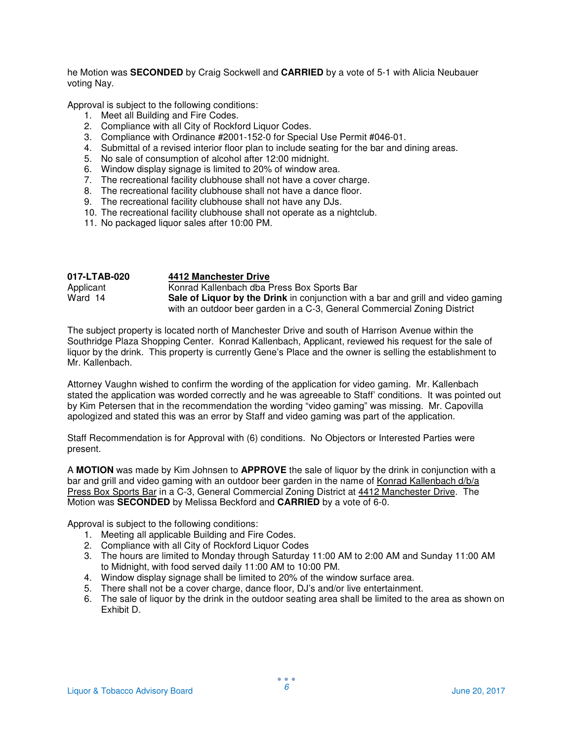he Motion was **SECONDED** by Craig Sockwell and **CARRIED** by a vote of 5-1 with Alicia Neubauer voting Nay.

Approval is subject to the following conditions:

- 1. Meet all Building and Fire Codes.
- 2. Compliance with all City of Rockford Liquor Codes.
- 3. Compliance with Ordinance #2001-152-0 for Special Use Permit #046-01.
- 4. Submittal of a revised interior floor plan to include seating for the bar and dining areas.
- 5. No sale of consumption of alcohol after 12:00 midnight.
- 6. Window display signage is limited to 20% of window area.
- 7. The recreational facility clubhouse shall not have a cover charge.
- 8. The recreational facility clubhouse shall not have a dance floor.
- 9. The recreational facility clubhouse shall not have any DJs.
- 10. The recreational facility clubhouse shall not operate as a nightclub.
- 11. No packaged liquor sales after 10:00 PM.

| 017-LTAB-020 | 4412 Manchester Drive                                                                   |
|--------------|-----------------------------------------------------------------------------------------|
| Applicant    | Konrad Kallenbach dba Press Box Sports Bar                                              |
| Ward 14      | <b>Sale of Liquor by the Drink</b> in conjunction with a bar and grill and video gaming |
|              | with an outdoor beer garden in a C-3, General Commercial Zoning District                |

The subject property is located north of Manchester Drive and south of Harrison Avenue within the Southridge Plaza Shopping Center. Konrad Kallenbach, Applicant, reviewed his request for the sale of liquor by the drink. This property is currently Gene's Place and the owner is selling the establishment to Mr. Kallenbach.

Attorney Vaughn wished to confirm the wording of the application for video gaming. Mr. Kallenbach stated the application was worded correctly and he was agreeable to Staff' conditions. It was pointed out by Kim Petersen that in the recommendation the wording "video gaming" was missing. Mr. Capovilla apologized and stated this was an error by Staff and video gaming was part of the application.

Staff Recommendation is for Approval with (6) conditions. No Objectors or Interested Parties were present.

A **MOTION** was made by Kim Johnsen to **APPROVE** the sale of liquor by the drink in conjunction with a bar and grill and video gaming with an outdoor beer garden in the name of Konrad Kallenbach d/b/a Press Box Sports Bar in a C-3, General Commercial Zoning District at 4412 Manchester Drive. The Motion was **SECONDED** by Melissa Beckford and **CARRIED** by a vote of 6-0.

- 1. Meeting all applicable Building and Fire Codes.
- 2. Compliance with all City of Rockford Liquor Codes
- 3. The hours are limited to Monday through Saturday 11:00 AM to 2:00 AM and Sunday 11:00 AM to Midnight, with food served daily 11:00 AM to 10:00 PM.
- 4. Window display signage shall be limited to 20% of the window surface area.
- 5. There shall not be a cover charge, dance floor, DJ's and/or live entertainment.
- 6. The sale of liquor by the drink in the outdoor seating area shall be limited to the area as shown on Exhibit D.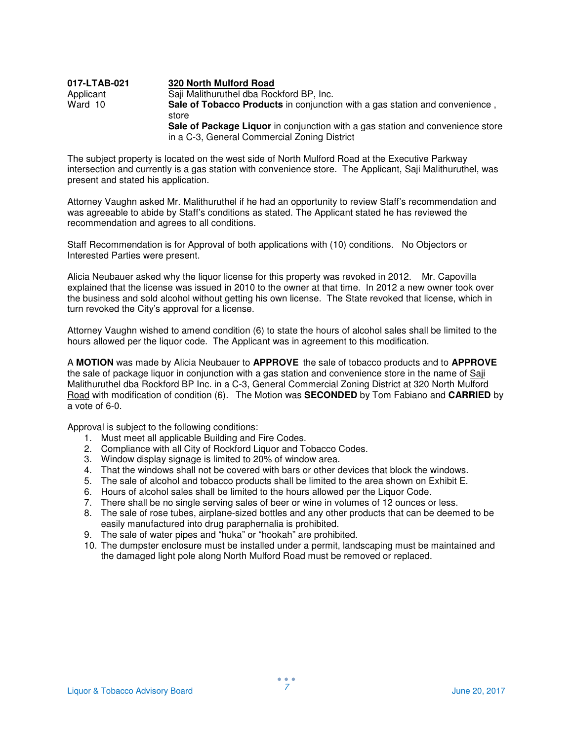| 017-LTAB-021 | 320 North Mulford Road                                                               |
|--------------|--------------------------------------------------------------------------------------|
| Applicant    | Saji Malithuruthel dba Rockford BP, Inc.                                             |
| Ward 10      | Sale of Tobacco Products in conjunction with a gas station and convenience,<br>store |
|              | Sale of Package Liquor in conjunction with a gas station and convenience store       |
|              | in a C-3, General Commercial Zoning District                                         |

The subject property is located on the west side of North Mulford Road at the Executive Parkway intersection and currently is a gas station with convenience store. The Applicant, Saji Malithuruthel, was present and stated his application.

Attorney Vaughn asked Mr. Malithuruthel if he had an opportunity to review Staff's recommendation and was agreeable to abide by Staff's conditions as stated. The Applicant stated he has reviewed the recommendation and agrees to all conditions.

Staff Recommendation is for Approval of both applications with (10) conditions. No Objectors or Interested Parties were present.

Alicia Neubauer asked why the liquor license for this property was revoked in 2012. Mr. Capovilla explained that the license was issued in 2010 to the owner at that time. In 2012 a new owner took over the business and sold alcohol without getting his own license. The State revoked that license, which in turn revoked the City's approval for a license.

Attorney Vaughn wished to amend condition (6) to state the hours of alcohol sales shall be limited to the hours allowed per the liquor code. The Applicant was in agreement to this modification.

A **MOTION** was made by Alicia Neubauer to **APPROVE** the sale of tobacco products and to **APPROVE**  the sale of package liquor in conjunction with a gas station and convenience store in the name of Saji Malithuruthel dba Rockford BP Inc. in a C-3, General Commercial Zoning District at 320 North Mulford Road with modification of condition (6). The Motion was **SECONDED** by Tom Fabiano and **CARRIED** by a vote of 6-0.

- 1. Must meet all applicable Building and Fire Codes.
- 2. Compliance with all City of Rockford Liquor and Tobacco Codes.
- 3. Window display signage is limited to 20% of window area.
- 4. That the windows shall not be covered with bars or other devices that block the windows.
- 5. The sale of alcohol and tobacco products shall be limited to the area shown on Exhibit E.
- 6. Hours of alcohol sales shall be limited to the hours allowed per the Liquor Code.
- 7. There shall be no single serving sales of beer or wine in volumes of 12 ounces or less.
- 8. The sale of rose tubes, airplane-sized bottles and any other products that can be deemed to be easily manufactured into drug paraphernalia is prohibited.
- 9. The sale of water pipes and "huka" or "hookah" are prohibited.
- 10. The dumpster enclosure must be installed under a permit, landscaping must be maintained and the damaged light pole along North Mulford Road must be removed or replaced.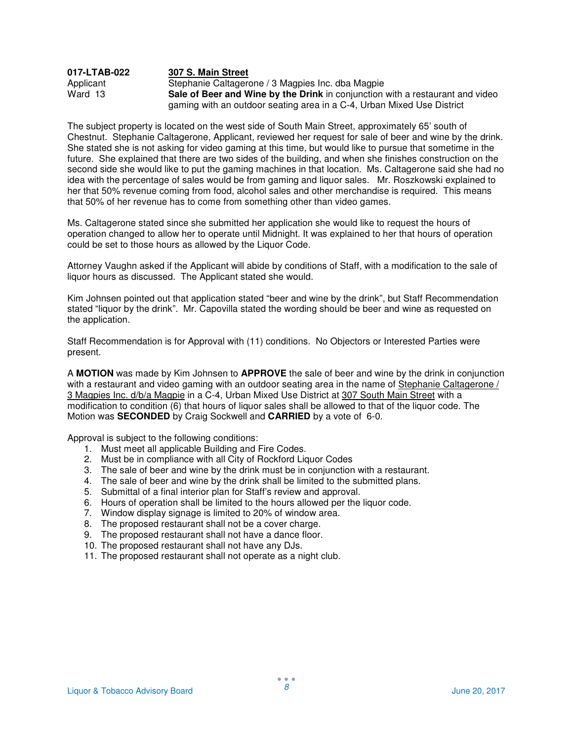## **017-LTAB-022 307 S. Main Street** Applicant Stephanie Caltagerone / 3 Magpies Inc. dba Magpie<br>
Ward 13 **Sale of Beer and Wine by the Drink** in conjunction **Sale of Beer and Wine by the Drink** in conjunction with a restaurant and video gaming with an outdoor seating area in a C-4, Urban Mixed Use District

The subject property is located on the west side of South Main Street, approximately 65' south of Chestnut. Stephanie Caltagerone, Applicant, reviewed her request for sale of beer and wine by the drink. She stated she is not asking for video gaming at this time, but would like to pursue that sometime in the future. She explained that there are two sides of the building, and when she finishes construction on the second side she would like to put the gaming machines in that location. Ms. Caltagerone said she had no idea with the percentage of sales would be from gaming and liquor sales. Mr. Roszkowski explained to her that 50% revenue coming from food, alcohol sales and other merchandise is required. This means that 50% of her revenue has to come from something other than video games.

Ms. Caltagerone stated since she submitted her application she would like to request the hours of operation changed to allow her to operate until Midnight. It was explained to her that hours of operation could be set to those hours as allowed by the Liquor Code.

Attorney Vaughn asked if the Applicant will abide by conditions of Staff, with a modification to the sale of liquor hours as discussed. The Applicant stated she would.

Kim Johnsen pointed out that application stated "beer and wine by the drink", but Staff Recommendation stated "liquor by the drink". Mr. Capovilla stated the wording should be beer and wine as requested on the application.

Staff Recommendation is for Approval with (11) conditions. No Objectors or Interested Parties were present.

A **MOTION** was made by Kim Johnsen to **APPROVE** the sale of beer and wine by the drink in conjunction with a restaurant and video gaming with an outdoor seating area in the name of Stephanie Caltagerone / 3 Magpies Inc. d/b/a Magpie in a C-4, Urban Mixed Use District at 307 South Main Street with a modification to condition (6) that hours of liquor sales shall be allowed to that of the liquor code. The Motion was **SECONDED** by Craig Sockwell and **CARRIED** by a vote of 6-0.

- 1. Must meet all applicable Building and Fire Codes.
- 2. Must be in compliance with all City of Rockford Liquor Codes
- 3. The sale of beer and wine by the drink must be in conjunction with a restaurant.
- 4. The sale of beer and wine by the drink shall be limited to the submitted plans.
- 5. Submittal of a final interior plan for Staff's review and approval.
- 6. Hours of operation shall be limited to the hours allowed per the liquor code.
- 7. Window display signage is limited to 20% of window area.
- 8. The proposed restaurant shall not be a cover charge.
- 9. The proposed restaurant shall not have a dance floor.
- 10. The proposed restaurant shall not have any DJs.
- 11. The proposed restaurant shall not operate as a night club.